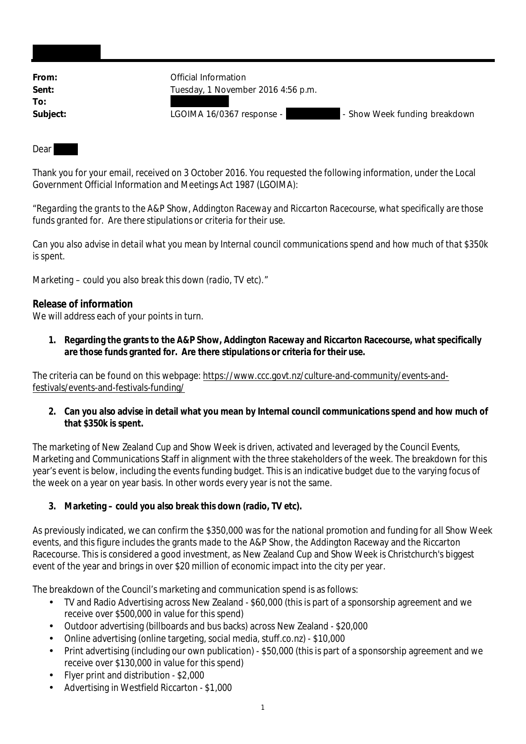| From:    |
|----------|
| Sent:    |
| To:      |
| Subject: |

*<u>Official Information</u>* **Sent:** Tuesday, 1 November 2016 4:56 p.m.

LGOIMA 16/0367 response - **Alternative Show Week funding breakdown** 

Dear

Thank you for your email, received on 3 October 2016. You requested the following information, under the Local Government Official Information and Meetings Act 1987 (LGOIMA):

"*Regarding the grants to the A&P Show, Addington Raceway and Riccarton Racecourse, what specifically are those funds granted for. Are there stipulations or criteria for their use.*

*Can you also advise in detail what you mean by Internal council communications spend and how much of that \$350k is spent.*

*Marketing – could you also break this down (radio, TV etc).*"

## **Release of information**

We will address each of your points in turn.

**1. Regarding the grants to the A&P Show, Addington Raceway and Riccarton Racecourse, what specifically are those funds granted for. Are there stipulations or criteria for their use.**

The criteria can be found on this webpage: https://www.ccc.govt.nz/culture-and-community/events-andfestivals/events-and-festivals-funding/

**2. Can you also advise in detail what you mean by Internal council communications spend and how much of that \$350k is spent.**

The marketing of New Zealand Cup and Show Week is driven, activated and leveraged by the Council Events, Marketing and Communications Staff in alignment with the three stakeholders of the week. The breakdown for this year's event is below, including the events funding budget. This is an indicative budget due to the varying focus of the week on a year on year basis. In other words every year is not the same.

**3. Marketing – could you also break this down (radio, TV etc).**

As previously indicated, we can confirm the \$350,000 was for the national promotion and funding for all Show Week events, and this figure includes the grants made to the A&P Show, the Addington Raceway and the Riccarton Racecourse. This is considered a good investment, as New Zealand Cup and Show Week is Christchurch's biggest event of the year and brings in over \$20 million of economic impact into the city per year.

The breakdown of the Council's marketing and communication spend is as follows:

- TV and Radio Advertising across New Zealand \$60,000 (this is part of a sponsorship agreement and we receive over \$500,000 in value for this spend)
- Outdoor advertising (billboards and bus backs) across New Zealand \$20,000
- Online advertising (online targeting, social media, stuff.co.nz) \$10,000
- Print advertising (including our own publication) \$50,000 (this is part of a sponsorship agreement and we receive over \$130,000 in value for this spend)
- Flyer print and distribution \$2,000
- Advertising in Westfield Riccarton \$1,000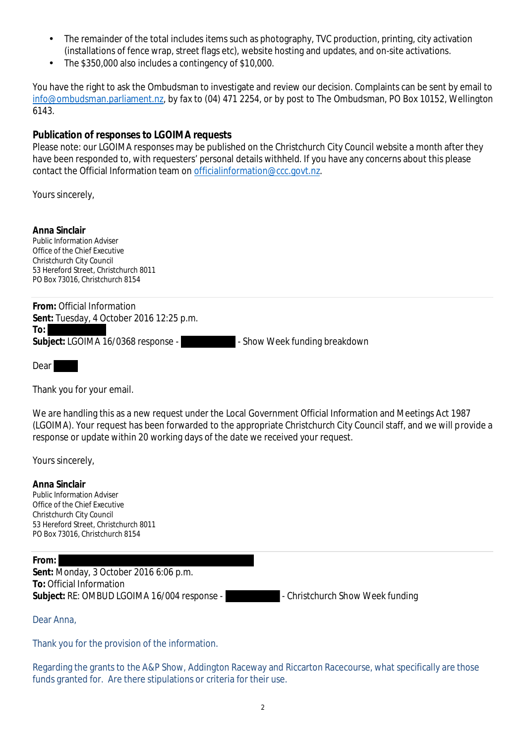- The remainder of the total includes items such as photography, TVC production, printing, city activation (installations of fence wrap, street flags etc), website hosting and updates, and on-site activations.
- The \$350,000 also includes a contingency of \$10,000.

You have the right to ask the Ombudsman to investigate and review our decision. Complaints can be sent by email to info@ombudsman.parliament.nz, by fax to (04) 471 2254, or by post to The Ombudsman, PO Box 10152, Wellington 6143.

**Publication of responses to LGOIMA requests**

Please note: our LGOIMA responses may be published on the Christchurch City Council website a month after they have been responded to, with requesters' personal details withheld. If you have any concerns about this please contact the Official Information team on officialinformation@ccc.govt.nz.

Yours sincerely,

**Anna Sinclair** Public Information Adviser Office of the Chief Executive Christchurch City Council 53 Hereford Street, Christchurch 8011 PO Box 73016, Christchurch 8154

**From:** Official Information **Sent:** Tuesday, 4 October 2016 12:25 p.m. **To:** Subject: LGOIMA 16/0368 response - **- The Show Week funding breakdown** 

Dear

Thank you for your email.

We are handling this as a new request under the Local Government Official Information and Meetings Act 1987 (LGOIMA). Your request has been forwarded to the appropriate Christchurch City Council staff, and we will provide a response or update within 20 working days of the date we received your request.

Yours sincerely,

**Anna Sinclair** Public Information Adviser Office of the Chief Executive Christchurch City Council 53 Hereford Street, Christchurch 8011 PO Box 73016, Christchurch 8154

## **From: Sent:** Monday, 3 October 2016 6:06 p.m. **To:** Official Information Subject: RE: OMBUD LGOIMA 16/004 response -  $\blacksquare$  - Christchurch Show Week funding

Dear Anna,

Thank you for the provision of the information.

Regarding the grants to the A&P Show, Addington Raceway and Riccarton Racecourse, what specifically are those funds granted for. Are there stipulations or criteria for their use.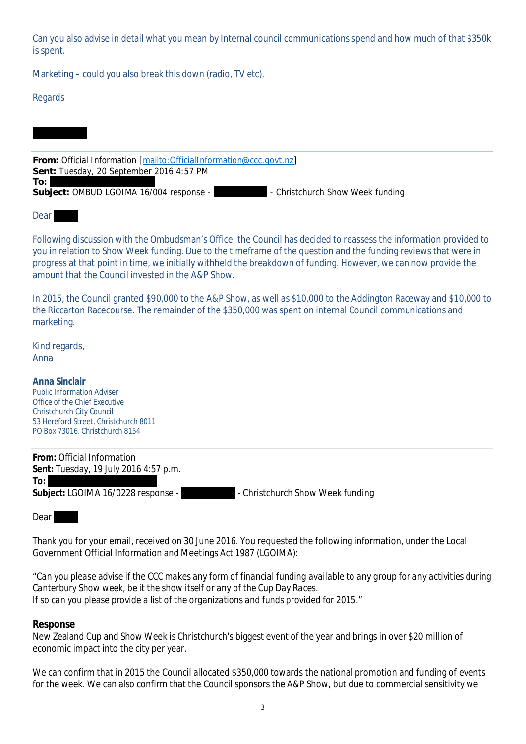Can you also advise in detail what you mean by Internal council communications spend and how much of that \$350k is spent.

Marketing – could you also break this down (radio, TV etc).

## Regards

**From:** Official Information [mailto:OfficialInformation@ccc.govt.nz] **Sent:** Tuesday, 20 September 2016 4:57 PM **To:** Subject: OMBUD LGOIMA 16/004 response - **- - - - - - - - Christchurch Show Week funding** 

**Dear** 

Following discussion with the Ombudsman's Office, the Council has decided to reassess the information provided to you in relation to Show Week funding. Due to the timeframe of the question and the funding reviews that were in progress at that point in time, we initially withheld the breakdown of funding. However, we can now provide the amount that the Council invested in the A&P Show.

In 2015, the Council granted \$90,000 to the A&P Show, as well as \$10,000 to the Addington Raceway and \$10,000 to the Riccarton Racecourse. The remainder of the \$350,000 was spent on internal Council communications and marketing.

Kind regards, Anna

**Anna Sinclair** Public Information Adviser Office of the Chief Executive Christchurch City Council 53 Hereford Street, Christchurch 8011 PO Box 73016, Christchurch 8154

| From: Official Information            |                                  |
|---------------------------------------|----------------------------------|
| Sent: Tuesday, 19 July 2016 4:57 p.m. |                                  |
| To:                                   |                                  |
| Subject: LGOIMA 16/0228 response -    | - Christchurch Show Week funding |

Dear

Thank you for your email, received on 30 June 2016. You requested the following information, under the Local Government Official Information and Meetings Act 1987 (LGOIMA):

"*Can you please advise if the CCC makes any form of financial funding available to any group for any activities during Canterbury Show week, be it the show itself or any of the Cup Day Races. If so can you please provide a list of the organizations and funds provided for 2015*."

**Response**

New Zealand Cup and Show Week is Christchurch's biggest event of the year and brings in over \$20 million of economic impact into the city per year.

We can confirm that in 2015 the Council allocated \$350,000 towards the national promotion and funding of events for the week. We can also confirm that the Council sponsors the A&P Show, but due to commercial sensitivity we